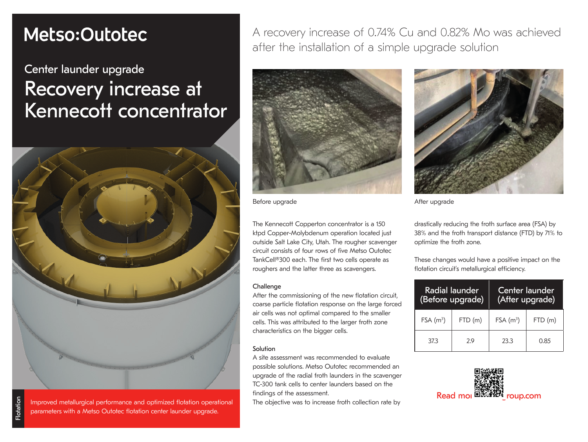# Metso:Outotec

# Center launder upgrade Recovery increase at Kennecott concentrator



Flotation

tindings of the assessment.<br>Improved metallurgical performance and optimized flotation operational The objective was to increase froth collection rate by **Read mor** parameters with a Metso Outotec flotation center launder upgrade.

A recovery increase of 0.74% Cu and 0.82% Mo was achieved after the installation of a simple upgrade solution



Before upgrade and a settlement of the After upgrade

The Kennecott Copperton concentrator is a 150 ktpd Copper-Molybdenum operation located just outside Salt Lake City, Utah. The rougher scavenger circuit consists of four rows of five Metso Outotec TankCell®300 each. The first two cells operate as roughers and the latter three as scavengers.

#### **Challenge**

After the commissioning of the new flotation circuit, coarse particle flotation response on the large forced air cells was not optimal compared to the smaller cells. This was attributed to the larger froth zone characteristics on the bigger cells.

#### Solution

A site assessment was recommended to evaluate possible solutions. Metso Outotec recommended an upgrade of the radial froth launders in the scavenger TC-300 tank cells to center launders based on the findings of the assessment.

The objective was to increase froth collection rate by



drastically reducing the froth surface area (FSA) by 38% and the froth transport distance (FTD) by 71% to optimize the froth zone.

These changes would have a positive impact on the flotation circuit's metallurgical efficiency.

| Radial launder<br>(Before upgrade) |         | Center launder<br>(After upgrade) |        |  |  |
|------------------------------------|---------|-----------------------------------|--------|--|--|
| $FSA(m^3)$                         | FTD (m) | FSA(m <sup>3</sup> )              | FTD(m) |  |  |
| 373                                | 29      | 23.3                              | 0.85   |  |  |

![](_page_0_Picture_19.jpeg)